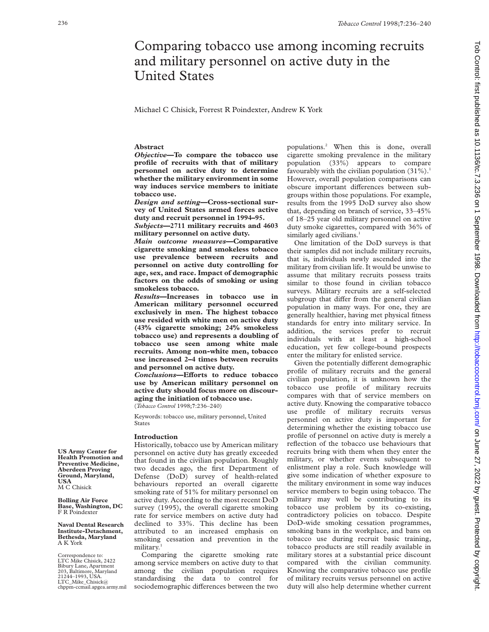# Comparing tobacco use among incoming recruits and military personnel on active duty in the United States

## **Abstract**

*Objective***—To compare the tobacco use profile of recruits with that of military personnel on active duty to determine whether the military environment in some way induces service members to initiate tobacco use.**

*Design and setting***—Cross-sectional survey of United States armed forces active duty and recruit personnel in 1994–95.**

*Subjects***—2711 military recruits and 4603 military personnel on active duty.**

*Main outcome measures***—Comparative cigarette smoking and smokeless tobacco use prevalence between recruits and personnel on active duty controlling for age, sex, and race. Impact of demographic factors on the odds of smoking or using smokeless tobacco.**

*Results***—Increases in tobacco use in American military personnel occurred exclusively in men. The highest tobacco use resided with white men on active duty (43% cigarette smoking; 24% smokeless tobacco use) and represents a doubling of tobacco use seen among white male recruits. Among non-white men, tobacco use increased 2–4 times between recruits and personnel on active duty.**

 $Conclusions$ -Efforts to reduce tobacco **use by American military personnel on active duty should focus more on discouraging the initiation of tobacco use.** (*Tobacco Control* 1998;**7**:236–240)

Keywords: tobacco use, military personnel, United States

#### **Introduction**

Historically, tobacco use by American military personnel on active duty has greatly exceeded that found in the civilian population. Roughly two decades ago, the first Department of Defense (DoD) survey of health-related behaviours reported an overall cigarette smoking rate of 51% for military personnel on active duty. According to the most recent DoD survey (1995), the overall cigarette smoking rate for service members on active duty had declined to 33%. This decline has been attributed to an increased emphasis on smoking cessation and prevention in the military.

Comparing the cigarette smoking rate among service members on active duty to that among the civilian population requires standardising the data to control for sociodemographic differences between the two

populations.2 When this is done, overall cigarette smoking prevalence in the military population (33%) appears to compare favourably with the civilian population  $(31\%)$ .<sup>1</sup> However, overall population comparisons can obscure important differences between subgroups within those populations. For example, results from the 1995 DoD survey also show that, depending on branch of service, 33–45% of 18–25 year old military personnel on active duty smoke cigarettes, compared with 36% of similarly aged civilians.<sup>1</sup>

One limitation of the DoD surveys is that their samples did not include military recruits, that is, individuals newly ascended into the military from civilian life. It would be unwise to assume that military recruits possess traits similar to those found in civilian tobacco surveys. Military recruits are a self-selected subgroup that differ from the general civilian population in many ways. For one, they are generally healthier, having met physical fitness standards for entry into military service. In addition, the services prefer to recruit individuals with at least a high-school education, yet few college-bound prospects enter the military for enlisted service.

Given the potentially different demographic profile of military recruits and the general civilian population, it is unknown how the tobacco use profile of military recruits compares with that of service members on active duty. Knowing the comparative tobacco use profile of military recruits versus personnel on active duty is important for determining whether the existing tobacco use profile of personnel on active duty is merely a reflection of the tobacco use behaviours that recruits bring with them when they enter the military, or whether events subsequent to enlistment play a role. Such knowledge will give some indication of whether exposure to the military environment in some way induces service members to begin using tobacco. The military may well be contributing to its tobacco use problem by its co-existing, contradictory policies on tobacco. Despite DoD-wide smoking cessation programmes, smoking bans in the workplace, and bans on tobacco use during recruit basic training, tobacco products are still readily available in military stores at a substantial price discount compared with the civilian community. Knowing the comparative tobacco use profile of military recruits versus personnel on active duty will also help determine whether current

**US Army Center for Health Promotion and Preventive Medicine, Aberdeen Proving Ground, Maryland, USA** M C Chisick

**Bolling Air Force Base, Washington, DC** F R Poindexter

**Naval Dental Research Institute-Detachment, Bethesda, Maryland** A K York

Correspondence to: LTC Mike Chisick, 2422 Bibury Lane, Apartment 203, Baltimore, Maryland 21244–1993, USA. LTC\_Mike\_Chisick@ chppm-ccmail.apgea.army.mil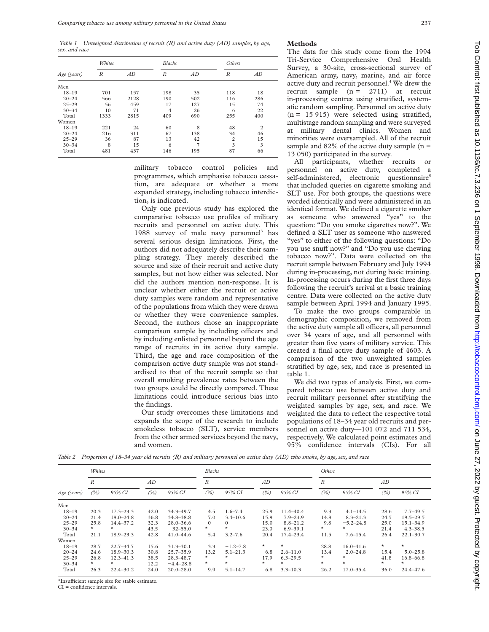*Table 1 Unweighted distribution of recruit (R) and active duty (AD) samples, by age, sex, and race*

|             | Whites |      | <b>Blacks</b>  |     | Others           |                |
|-------------|--------|------|----------------|-----|------------------|----------------|
| Age (years) | R      | AD   | R              | AD  | $\boldsymbol{R}$ | AD             |
| Men         |        |      |                |     |                  |                |
| $18 - 19$   | 701    | 157  | 198            | 35  | 118              | 18             |
| $20 - 24$   | 566    | 2128 | 190            | 502 | 116              | 286            |
| $25 - 29$   | 56     | 459  | 17             | 127 | 15               | 74             |
| $30 - 34$   | 10     | 71   | $\overline{4}$ | 26  | 6                | 22             |
| Total       | 1333   | 2815 | 409            | 690 | 255              | 400            |
| Women       |        |      |                |     |                  |                |
| $18 - 19$   | 221    | 24   | 60             | 8   | 48               | $\overline{2}$ |
| $20 - 24$   | 216    | 311  | 67             | 138 | 34               | 46             |
| $25 - 29$   | 36     | 87   | 13             | 42  | $\overline{2}$   | 15             |
| $30 - 34$   | 8      | 15   | 6              | 7   | 3                | 3              |
| Total       | 481    | 437  | 146            | 195 | 87               | 66             |

military tobacco control policies and programmes, which emphasise tobacco cessation, are adequate or whether a more expanded strategy, including tobacco interdiction, is indicated.

Only one previous study has explored the comparative tobacco use profiles of military recruits and personnel on active duty. This 1988 survey of male navy personnel<sup>3</sup> has several serious design limitations. First, the authors did not adequately describe their sampling strategy. They merely described the source and size of their recruit and active duty samples, but not how either was selected. Nor did the authors mention non-response. It is unclear whether either the recruit or active duty samples were random and representative of the populations from which they were drawn or whether they were convenience samples. Second, the authors chose an inappropriate comparison sample by including officers and by including enlisted personnel beyond the age range of recruits in its active duty sample. Third, the age and race composition of the comparison active duty sample was not standardised to that of the recruit sample so that overall smoking prevalence rates between the two groups could be directly compared. These limitations could introduce serious bias into the findings.

Our study overcomes these limitations and expands the scope of the research to include smokeless tobacco (SLT), service members from the other armed services beyond the navy, and women.

## **Methods**

The data for this study come from the 1994 Tri-Service Comprehensive Oral Health Survey, a 30-site, cross-sectional survey of American army, navy, marine, and air force active duty and recruit personnel.<sup>4</sup> We drew the recruit sample  $(n = 2711)$  at recruit in-processing centres using stratified, systematic random sampling. Personnel on active duty  $(n = 15915)$  were selected using stratified, multistage random sampling and were surveyed at military dental clinics. Women and minorities were oversampled. All of the recruit sample and  $82\%$  of the active duty sample (n = 13 050) participated in the survey.

All participants, whether recruits or personnel on active duty, completed a self-administered, electronic questionnaire<sup>5</sup> that included queries on cigarette smoking and SLT use. For both groups, the questions were worded identically and were administered in an identical format. We defined a cigarette smoker as someone who answered "yes" to the question: "Do you smoke cigarettes now?". We defined a SLT user as someone who answered "yes" to either of the following questions: "Do you use snuff now?" and "Do you use chewing tobacco now?". Data were collected on the recruit sample between February and July 1994 during in-processing, not during basic training. In-processing occurs during the first three days following the recruit's arrival at a basic training centre. Data were collected on the active duty sample between April 1994 and January 1995.

To make the two groups comparable in demographic composition, we removed from the active duty sample all officers, all personnel over 34 years of age, and all personnel with greater than five years of military service. This created a final active duty sample of 4603. A comparison of the two unweighted samples stratified by age, sex, and race is presented in table 1.

We did two types of analysis. First, we compared tobacco use between active duty and recruit military personnel after stratifying the weighted samples by age, sex, and race. We weighted the data to reflect the respective total populations of 18–34 year old recruits and personnel on active duty—101 072 and 711 534, respectively. We calculated point estimates and 95% confidence intervals (CIs). For all

*Table 2 Proportion of 18–34 year old recruits (R) and military personnel on active duty (AD) who smoke, by age, sex, and race*

|             | Whites           |               |      |               |              | Blacks       |            |               |            | Others        |         |               |  |  |
|-------------|------------------|---------------|------|---------------|--------------|--------------|------------|---------------|------------|---------------|---------|---------------|--|--|
|             | $\boldsymbol{R}$ |               | AD   |               | R            |              | AD         |               | R          |               | AD      |               |  |  |
| Age (years) | (%)              | 95% CI        | (%)  | 95% CI        | (%)          | 95% CI       | (%)        | 95% CI        | (%)        | 95% CI        | (%)     | 95% CI        |  |  |
| Men         |                  |               |      |               |              |              |            |               |            |               |         |               |  |  |
| $18 - 19$   | 20.3             | $17.3 - 23.3$ | 42.0 | 34.3-49.7     | 4.5          | $1.6 - 7.4$  | 25.9       | $11.4 - 40.4$ | 9.3        | $4.1 - 14.5$  | 28.6    | $7.7 - 49.5$  |  |  |
| $20 - 24$   | 21.4             | $18.0 - 24.8$ | 36.8 | $34.8 - 38.8$ | 7.0          | $3.4 - 10.6$ | 15.9       | $7.9 - 23.9$  | 14.8       | $8.3 - 21.3$  | 24.5    | $19.5 - 29.5$ |  |  |
| $25 - 29$   | 25.8             | $14.4 - 37.2$ | 32.3 | $28.0 - 36.6$ | $\mathbf{0}$ | $\Omega$     | 15.0       | $8.8 - 21.2$  | 9.8        | $-5.2 - 24.8$ | 25.0    | $15.1 - 34.9$ |  |  |
| $30 - 34$   | $\star$          |               | 43.5 | $32 - 55.0$   | $\star$      | $\star$      | 23.0       | $6.9 - 39.1$  | $\star$    | $^{\star}$    | 21.4    | $4.3 - 38.5$  |  |  |
| Total       | 21.1             | $18.9 - 23.3$ | 42.8 | $41.0 - 44.6$ | 5.4          | $3.2 - 7.6$  | 20.4       | $17.4 - 23.4$ | 11.5       | $7.6 - 15.4$  | 26.4    | $22.1 - 30.7$ |  |  |
| Women       |                  |               |      |               |              |              |            |               |            |               |         |               |  |  |
| $18 - 19$   | 28.7             | $22.7 - 34.7$ | 15.6 | $31.3 - 30.1$ | 3.3          | $-1.2 - 7.8$ | $\star$    | $\star$       | 28.8       | $16.0 - 41.6$ | $\star$ | $\star$       |  |  |
| $20 - 24$   | 24.6             | $18.9 - 30.3$ | 30.8 | $25.7 - 35.9$ | 13.2         | $5.1 - 21.3$ | 6.8        | $2.6 - 11.0$  | 13.4       | $2.0 - 24.8$  | 15.4    | $5.0 - 25.8$  |  |  |
| $25 - 29$   | 26.8             | $12.3 - 41.3$ | 38.5 | $28.3 - 48.7$ | $\star$      | $^{\star}$   | 17.9       | $6.3 - 29.5$  | $^{\star}$ | $\star$       | 41.8    | $16.8 - 66.8$ |  |  |
| $30 - 34$   | $\star$          | $\star$       | 12.2 | $-4.4 - 28.8$ | $\star$      | $\star$      | $^{\star}$ | $\star$       | $\star$    | $\star$       | $\star$ | $\star$       |  |  |
| Total       | 26.3             | $22.4 - 30.2$ | 24.0 | $20.0 - 28.0$ | 9.9          | $5.1 - 14.7$ | 6.8        | $3.3 - 10.3$  | 26.2       | $17.0 - 35.4$ | 36.0    | 24.4-47.6     |  |  |

\*Insufficient sample size for stable estimate.

CI = confidence intervals.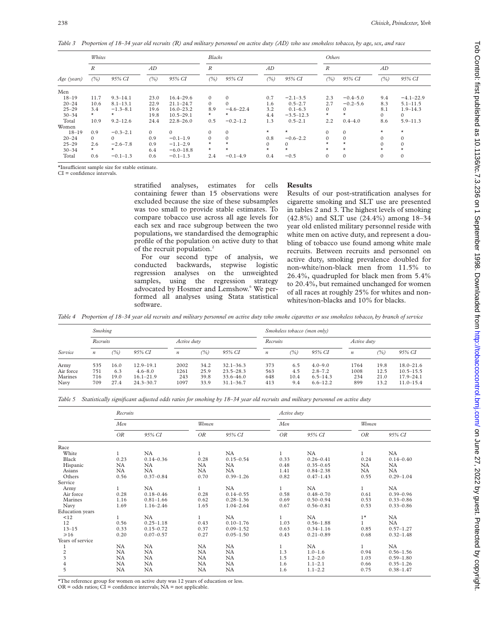*Table 3 Proportion of 18–34 year old recruits (R) and military personnel on active duty (AD) who use smokeless tobacco, by age, sex, and race*

|             | Whites           |              |          |               |                  | Blacks        |              |               |                  | Others       |              |               |  |
|-------------|------------------|--------------|----------|---------------|------------------|---------------|--------------|---------------|------------------|--------------|--------------|---------------|--|
|             | $\boldsymbol{R}$ |              | AD       |               | $\boldsymbol{R}$ |               | AD           |               | $\boldsymbol{R}$ |              | AD           |               |  |
| Age (years) | (%)              | 95% CI       | (%)      | 95% CI        | (%)              | 95% CI        | (%)          | 95% CI        | (%)              | 95% CI       | (%)          | 95% CI        |  |
| Men         |                  |              |          |               |                  |               |              |               |                  |              |              |               |  |
| $18 - 19$   | 11.7             | $9.3 - 14.1$ | 23.0     | $16.4 - 29.6$ | $\mathbf{0}$     | $\mathbf{0}$  | 0.7          | $-2.1 - 3.5$  | 2.3              | $-0.4 - 5.0$ | 9.4          | $-4.1 - 22.9$ |  |
| $20 - 24$   | 10.6             | $8.1 - 13.1$ | 22.9     | $21.1 - 24.7$ | $\Omega$         | $\Omega$      | 1.6          | $0.5 - 2.7$   | 2.7              | $-0.2 - 5.6$ | 8.3          | $5.1 - 11.5$  |  |
| $25 - 29$   | 3.4              | $-1.3-8.1$   | 19.6     | $16.0 - 23.2$ | 8.9              | $-4.6 - 22.4$ | 3.2          | $0.1 - 6.3$   | $\mathbf{0}$     | $\mathbf{0}$ | 8.1          | $1.9 - 14.3$  |  |
| $30 - 34$   | $\star$          | $\star$      | 19.8     | $10.5 - 29.1$ | $\star$          | $\star$       | 4.4          | $-3.5 - 12.3$ | $^{\star}$       | $\star$      | $\Omega$     | $\Omega$      |  |
| Total       | 10.9             | $9.2 - 12.6$ | 24.4     | $22.8 - 26.0$ | 0.5              | $-0.2 - 1.2$  | 1.3          | $0.5 - 2.1$   | 2.2              | $0.4 - 4.0$  | 8.6          | $5.9 - 11.3$  |  |
| Women       |                  |              |          |               |                  |               |              |               |                  |              |              |               |  |
| $18 - 19$   | 0.9              | $-0.3-2.1$   | $\Omega$ | $\Omega$      | $\Omega$         | $\mathbf{0}$  | $\star$      | $^{\star}$    | $\mathbf{0}$     | $\Omega$     | $\star$      | $\star$       |  |
| $20 - 24$   | $\Omega$         | $\Omega$     | 0.9      | $-0.1-1.9$    | $\mathbf{0}$     | $\Omega$      | 0.8          | $-0.6 - 2.2$  | $\mathbf{0}$     | $\mathbf{0}$ | $\Omega$     | $\Omega$      |  |
| $25 - 29$   | 2.6              | $-2.6 - 7.8$ | 0.9      | $-1.1 - 2.9$  | $\star$          | $\star$       | $\mathbf{0}$ | 0             | $^{\star}$       | $\star$      |              | $\Omega$      |  |
| $30 - 34$   | $\star$          | $\star$      | 6.4      | $-6.0 - 18.8$ | $\star$          | $\star$       | $\star$      | $^{\star}$    | $\star$          | $\star$      | $\star$      | $^\star$      |  |
| Total       | 0.6              | $-0.1-1.3$   | 0.6      | $-0.1 - 1.3$  | 2.4              | $-0.1 - 4.9$  | 0.4          | $-0.5$        | $\mathbf{0}$     | $\mathbf{0}$ | $\mathbf{0}$ | $\mathbf{0}$  |  |

\*Insufficient sample size for stable estimate.

CI = confidence intervals.

stratified analyses, estimates for cells containing fewer than 15 observations were excluded because the size of these subsamples was too small to provide stable estimates. To compare tobacco use across all age levels for each sex and race subgroup between the two populations, we standardised the demographic profile of the population on active duty to that of the recruit population.<sup>2</sup>

For our second type of analysis, we conducted backwards, stepwise logistic regression analyses on the unweighted samples, using the regression strategy advocated by Hosmer and Lemshow.<sup>6</sup> We performed all analyses using Stata statistical software.

## **Results**

Results of our post-stratification analyses for cigarette smoking and SLT use are presented in tables 2 and 3. The highest levels of smoking (42.8%) and SLT use (24.4%) among 18–34 year old enlisted military personnel reside with white men on active duty, and represent a doubling of tobacco use found among white male recruits. Between recruits and personnel on active duty, smoking prevalence doubled for non-white/non-black men from 11.5% to 26.4%, quadrupled for black men from 5.4% to 20.4%, but remained unchanged for women of all races at roughly 25% for whites and nonwhites/non-blacks and 10% for blacks.

*Table 4 Proportion of 18–34 year old recruits and military personnel on active duty who smoke cigarettes or use smokeless tobacco, by branch of service*

|                                      | <b>Smoking</b>           |                             |                                                                |                             |                              |                                                                  |                          |                           | Smokeless tobacco (men only)                               |                            |                              |                                                                  |
|--------------------------------------|--------------------------|-----------------------------|----------------------------------------------------------------|-----------------------------|------------------------------|------------------------------------------------------------------|--------------------------|---------------------------|------------------------------------------------------------|----------------------------|------------------------------|------------------------------------------------------------------|
|                                      | Recruits                 |                             |                                                                | Active duty                 |                              |                                                                  | Recruits                 |                           |                                                            | Active duty                |                              |                                                                  |
| Service                              | $\boldsymbol{n}$         | (%)                         | 95% CI                                                         | $\boldsymbol{n}$            | (%)                          | 95% CI                                                           | $\boldsymbol{n}$         | (%)                       | 95% CI                                                     | $\boldsymbol{n}$           | (%)                          | 95% CI                                                           |
| Army<br>Air force<br>Marines<br>Navy | 535<br>751<br>716<br>709 | 16.0<br>6.3<br>19.0<br>27.4 | $12.9 - 19.1$<br>$4.6 - 8.0$<br>$16.1 - 21.9$<br>$24.3 - 30.7$ | 2002<br>1261<br>243<br>1097 | 34.2<br>25.9<br>39.8<br>33.9 | $32.1 - 36.3$<br>$23.5 - 28.3$<br>$33.6 - 46.0$<br>$31.1 - 36.7$ | 373<br>563<br>648<br>413 | 6.5<br>4.5<br>10.4<br>9.4 | $4.0 - 9.0$<br>$2.8 - 7.2$<br>$6.5 - 14.3$<br>$6.6 - 12.2$ | 1764<br>1008<br>234<br>899 | 19.8<br>12.5<br>21.0<br>13.2 | $18.0 - 21.6$<br>$10.5 - 15.5$<br>$17.9 - 24.1$<br>$11.0 - 15.4$ |

*Table 5 Statistically significant adjusted odds ratios for smoking by 18–34 year old recruits and military personnel on active duty*

|                        | Recruits  |               |                |               | Active duty    |               |              |               |  |  |
|------------------------|-----------|---------------|----------------|---------------|----------------|---------------|--------------|---------------|--|--|
|                        | Men       |               | Women          |               | Men            |               | Women        |               |  |  |
|                        | OR.       | 95% CI        | OR <sub></sub> | 95% CI        | OR <sub></sub> | 95% CI        | <b>OR</b>    | 95% CI        |  |  |
| Race                   |           |               |                |               |                |               |              |               |  |  |
| White                  | 1         | <b>NA</b>     | 1              | NA            |                | NA            | 1            | NA            |  |  |
| Black                  | 0.23      | $0.14 - 0.36$ | 0.28           | $0.15 - 0.54$ | 0.33           | $0.26 - 0.41$ | 0.24         | $0.14 - 0.40$ |  |  |
| Hispanic               | NA        | <b>NA</b>     | NA             | <b>NA</b>     | 0.48           | $0.35 - 0.65$ | NA           | NA            |  |  |
| Asians                 | NA.       | <b>NA</b>     | NA             | NA            | 1.41           | $0.84 - 2.38$ | NA           | <b>NA</b>     |  |  |
| Others                 | 0.56      | $0.37 - 0.84$ | 0.70           | $0.39 - 1.26$ | 0.82           | $0.47 - 1.43$ | 0.55         | $0.29 - 1.04$ |  |  |
| Service                |           |               |                |               |                |               |              |               |  |  |
| Army                   | 1         | <b>NA</b>     | 1              | NA            |                | NA            | $\mathbf{1}$ | NA            |  |  |
| Air force              | 0.28      | $0.18 - 0.46$ | 0.28           | $0.14 - 0.55$ | 0.58           | $0.48 - 0.70$ | 0.61         | $0.39 - 0.96$ |  |  |
| Marines                | 1.16      | $0.81 - 1.66$ | 0.62           | $0.28 - 1.36$ | 0.69           | $0.50 - 0.94$ | 0.53         | $0.33 - 0.86$ |  |  |
| Navy                   | 1.69      | $1.16 - 2.46$ | 1.65           | $1.04 - 2.64$ | 0.67           | $0.56 - 0.81$ | 0.53         | $0.33 - 0.86$ |  |  |
| <b>Education</b> years |           |               |                |               |                |               |              |               |  |  |
| <12                    | 1         | NA            |                | NA            |                | NA            | $1^{\star}$  | NA            |  |  |
| 12                     | 0.56      | $0.25 - 1.18$ | 0.43           | $0.10 - 1.76$ | 1.03           | $0.56 - 1.88$ |              | NA            |  |  |
| $13 - 15$              | 0.33      | $0.15 - 0.72$ | 0.37           | $0.09 - 1.52$ | 0.63           | $0.34 - 1.16$ | 0.85         | $0.57 - 1.27$ |  |  |
| $\geq 16$              | 0.20      | $0.07 - 0.57$ | 0.27           | $0.05 - 1.50$ | 0.43           | $0.21 - 0.89$ | 0.68         | $0.32 - 1.48$ |  |  |
| Years of service       |           |               |                |               |                |               |              |               |  |  |
|                        | <b>NA</b> | <b>NA</b>     | NA             | NA            | $\mathbf{1}$   | NA            | 1            | NA            |  |  |
| $\sqrt{2}$             | NA        | NA            | NA             | NA            | 1.3            | $1.0 - 1.6$   | 0.94         | $0.56 - 1.56$ |  |  |
| 3                      | NA        | NA            | <b>NA</b>      | NA            | 1.5            | $1.2 - 2.0$   | 1.03         | $0.59 - 1.80$ |  |  |
| $\overline{4}$         | NA        | NA            | NA             | <b>NA</b>     | 1.6            | $1.1 - 2.1$   | 0.66         | $0.35 - 1.26$ |  |  |
| 5                      | NA        | NA            | NA             | NA            | 1.6            | $1.1 - 2.2$   | 0.75         | $0.38 - 1.47$ |  |  |

\*The reference group for women on active duty was 12 years of education or less.

 $OR = odds$  ratios;  $CI = confidence$  intervals;  $NA = not$  applicable.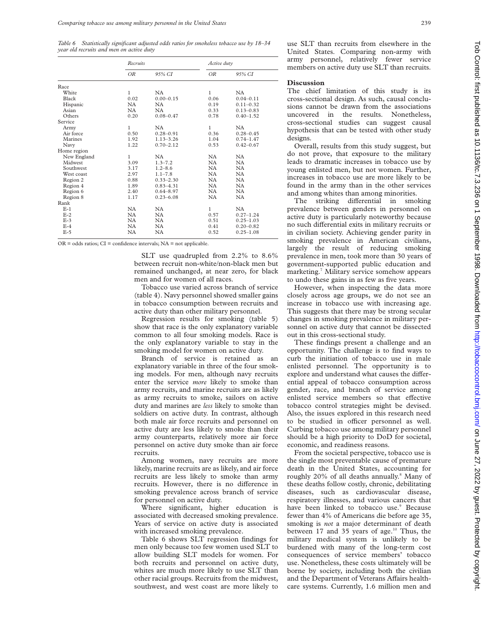*Table 6 Statistically significant adjusted odds ratios for smokeless tobacco use by 18–34 year old recruits and men on active duty*

|             | Recruits  |               | Active duty  |               |  |
|-------------|-----------|---------------|--------------|---------------|--|
|             | ΟR        | 95% CI        | ΟR           | 95% CI        |  |
| Race        |           |               |              |               |  |
| White       | 1         | NA            | 1            | NA.           |  |
| Black       | 0.02      | $0.00 - 0.15$ | 0.06         | $0.04 - 0.11$ |  |
| Hispanic    | NA        | NA            | 0.19         | $0.11 - 0.32$ |  |
| Asian       | NA.       | NA            | 0.33         | $0.13 - 0.83$ |  |
| Others      | 0.20      | $0.08 - 0.47$ | 0.78         | $0.40 - 1.52$ |  |
| Service     |           |               |              |               |  |
| Army        | 1         | NA            | $\mathbf{1}$ | NA.           |  |
| Air force   | 0.50      | $0.28 - 0.91$ | 0.36         | $0.28 - 0.45$ |  |
| Marines     | 1.92      | $1.13 - 3.26$ | 1.04         | $0.74 - 1.47$ |  |
| Navy        | 1.22      | $0.70 - 2.12$ | 0.53         | $0.42 - 0.67$ |  |
| Home region |           |               |              |               |  |
| New England | 1         | NA            | NA           | NA            |  |
| Midwest     | 3.09      | $1.3 - 7.2$   | NA           | NA            |  |
| Southwest   | 3.17      | $1.2 - 8.6$   | NA           | <b>NA</b>     |  |
| West coast  | 2.97      | $1.1 - 7.8$   | NA.          | <b>NA</b>     |  |
| Region 2    | 0.88      | $0.33 - 2.30$ | NA           | <b>NA</b>     |  |
| Region 4    | 1.89      | $0.83 - 4.31$ | NA           | <b>NA</b>     |  |
| Region 6    | 2.40      | $0.64 - 8.97$ | NA           | <b>NA</b>     |  |
| Region 8    | 1.17      | $0.23 - 6.08$ | NA           | NA            |  |
| Rank        |           |               |              |               |  |
| $E-1$       | NA        | NA            | 1            | <b>NA</b>     |  |
| $E-2$       | NA        | NA            | 0.57         | $0.27 - 1.24$ |  |
| $E-3$       | NA        | NA            | 0.51         | $0.25 - 1.03$ |  |
| $E-4$       | NA        | NA            | 0.41         | $0.20 - 0.82$ |  |
| $E-5$       | <b>NA</b> | NA            | 0.52         | $0.25 - 1.08$ |  |

 $OR = odds$  ratios;  $CI = confidence$  intervals;  $NA = not$  applicable.

SLT use quadrupled from 2.2% to 8.6% between recruit non-white/non-black men but remained unchanged, at near zero, for black men and for women of all races.

Tobacco use varied across branch of service (table 4). Navy personnel showed smaller gains in tobacco consumption between recruits and active duty than other military personnel.

Regression results for smoking (table 5) show that race is the only explanatory variable common to all four smoking models. Race is the only explanatory variable to stay in the smoking model for women on active duty.

Branch of service is retained as an explanatory variable in three of the four smoking models. For men, although navy recruits enter the service *more* likely to smoke than army recruits, and marine recruits are as likely as army recruits to smoke, sailors on active duty and marines are *less* likely to smoke than soldiers on active duty. In contrast, although both male air force recruits and personnel on active duty are less likely to smoke than their army counterparts, relatively more air force personnel on active duty smoke than air force recruits.

Among women, navy recruits are more likely, marine recruits are as likely, and air force recruits are less likely to smoke than army recruits. However, there is no difference in smoking prevalence across branch of service for personnel on active duty.

Where significant, higher education is associated with decreased smoking prevalence. Years of service on active duty is associated with increased smoking prevalence.

Table 6 shows SLT regression findings for men only because too few women used SLT to allow building SLT models for women. For both recruits and personnel on active duty, whites are much more likely to use SLT than other racial groups. Recruits from the midwest, southwest, and west coast are more likely to

use SLT than recruits from elsewhere in the United States. Comparing non-army with army personnel, relatively fewer service members on active duty use SLT than recruits.

#### **Discussion**

The chief limitation of this study is its cross-sectional design. As such, causal conclusions cannot be drawn from the associations uncovered in the results. Nonetheless, cross-sectional studies can suggest causal hypothesis that can be tested with other study designs.

Overall, results from this study suggest, but do not prove, that exposure to the military leads to dramatic increases in tobacco use by young enlisted men, but not women. Further, increases in tobacco use are more likely to be found in the army than in the other services and among whites than among minorities.

The striking differential in smoking prevalence between genders in personnel on active duty is particularly noteworthy because no such differential exits in military recruits or in civilian society. Achieving gender parity in smoking prevalence in American civilians, largely the result of reducing smoking prevalence in men, took more than 30 years of government-supported public education and marketing.7 Military service somehow appears to undo these gains in as few as five years.

However, when inspecting the data more closely across age groups, we do not see an increase in tobacco use with increasing age. This suggests that there may be strong secular changes in smoking prevalence in military personnel on active duty that cannot be dissected out in this cross-sectional study.

These findings present a challenge and an opportunity. The challenge is to find ways to curb the initiation of tobacco use in male enlisted personnel. The opportunity is to explore and understand what causes the differential appeal of tobacco consumption across gender, race, and branch of service among enlisted service members so that effective tobacco control strategies might be devised. Also, the issues explored in this research need to be studied in officer personnel as well. Curbing tobacco use among military personnel should be a high priority to DoD for societal, economic, and readiness reasons.

From the societal perspective, tobacco use is the single most preventable cause of premature death in the United States, accounting for roughly  $20\%$  of all deaths annually.<sup>8</sup> Many of these deaths follow costly, chronic, debilitating diseases, such as cardiovascular disease, respiratory illnesses, and various cancers that have been linked to tobacco use.<sup>9</sup> Because fewer than 4% of Americans die before age 35, smoking is *not* a major determinant of death between 17 and 35 years of age.<sup>10</sup> Thus, the military medical system is unlikely to be burdened with many of the long-term cost consequences of service members' tobacco use. Nonetheless, these costs ultimately will be borne by society, including both the civilian and the Department of Veterans Affairs healthcare systems. Currently, 1.6 million men and